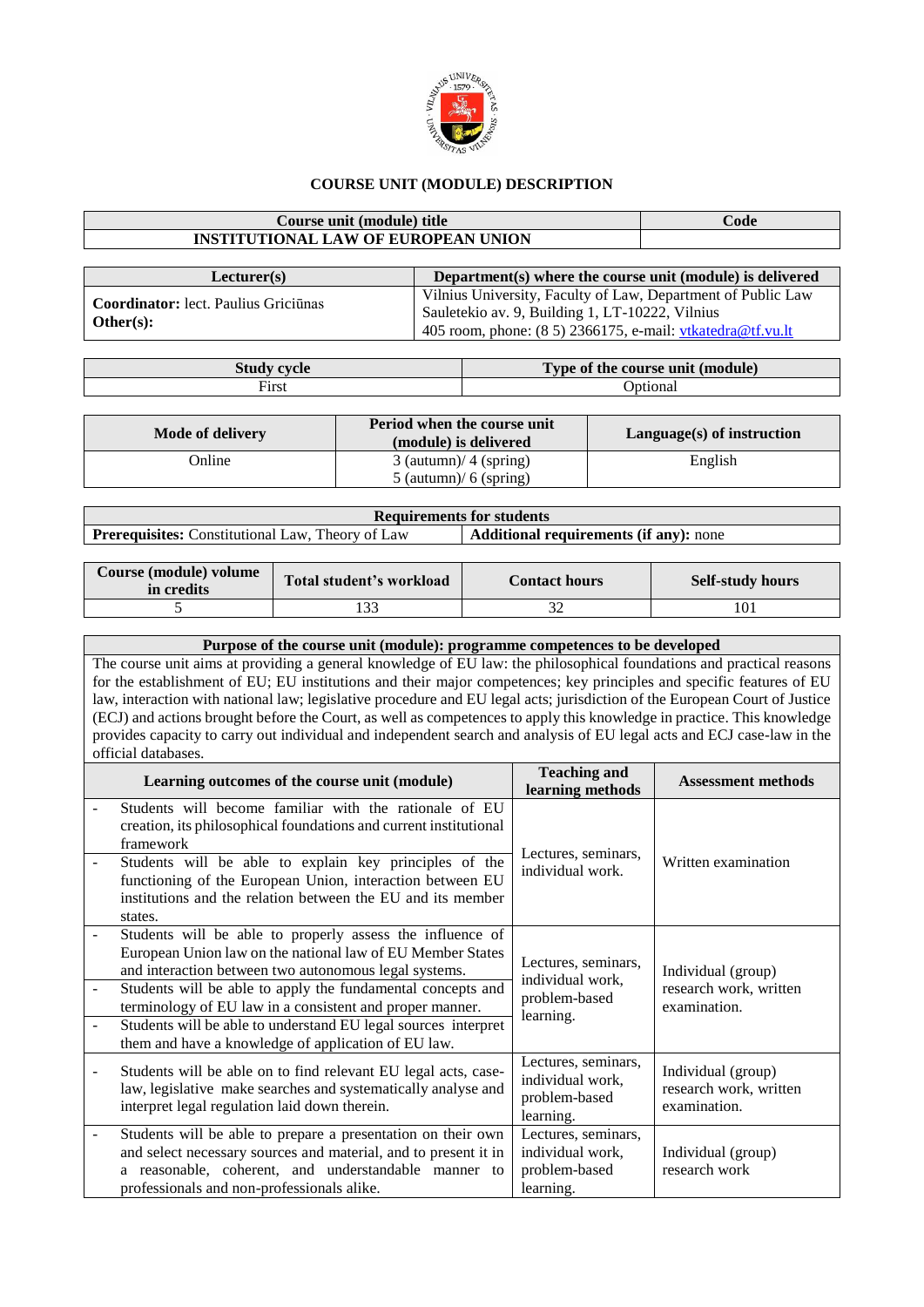

## **COURSE UNIT (MODULE) DESCRIPTION**

## **Course unit (module) title Code INSTITUTIONAL LAW OF EUROPEAN UNION**

| Lecturer(s)                                              | Department(s) where the course unit (module) is delivered                                                                                                                        |
|----------------------------------------------------------|----------------------------------------------------------------------------------------------------------------------------------------------------------------------------------|
| <b>Coordinator:</b> lect. Paulius Griciūnas<br>Other(s): | Vilnius University, Faculty of Law, Department of Public Law<br>Sauletekio av. 9, Building 1, LT-10222, Vilnius<br>405 room, phone: $(8 5) 2366175$ , e-mail: vtkatedra@tf.vu.lt |

| <b>Study cycle</b> | Type of the course unit (module) |  |  |  |
|--------------------|----------------------------------|--|--|--|
| First              | <b>D</b> otional                 |  |  |  |

| Mode of delivery | Period when the course unit<br>(module) is delivered | Language(s) of instruction |  |  |
|------------------|------------------------------------------------------|----------------------------|--|--|
| Online           | $3$ (autumn)/ 4 (spring)                             | English                    |  |  |
|                  | $5$ (autumn)/ 6 (spring)                             |                            |  |  |

| <b>Requirements for students</b>                        |                                               |  |  |  |  |  |
|---------------------------------------------------------|-----------------------------------------------|--|--|--|--|--|
| <b>Prerequisites:</b> Constitutional Law, Theory of Law | <b>Additional requirements (if any):</b> none |  |  |  |  |  |

| Course (module) volume<br>in credits | Total student's workload | <b>Contact hours</b> | <b>Self-study hours</b> |
|--------------------------------------|--------------------------|----------------------|-------------------------|
|                                      |                          |                      | 101                     |

## **Purpose of the course unit (module): programme competences to be developed**

The course unit aims at providing a general knowledge of EU law: the philosophical foundations and practical reasons for the establishment of EU; EU institutions and their major competences; key principles and specific features of EU law, interaction with national law; legislative procedure and EU legal acts; jurisdiction of the European Court of Justice (ECJ) and actions brought before the Court, as well as competences to apply this knowledge in practice. This knowledge provides capacity to carry out individual and independent search and analysis of EU legal acts and ECJ case-law in the official databases.

| <b>Teaching and</b><br>learning methods                  | <b>Assessment methods</b>                                         |  |
|----------------------------------------------------------|-------------------------------------------------------------------|--|
| Lectures, seminars,                                      | Written examination                                               |  |
| individual work.                                         |                                                                   |  |
| Lectures, seminars,                                      | Individual (group)                                                |  |
| problem-based                                            | research work, written<br>examination.                            |  |
|                                                          |                                                                   |  |
| individual work,<br>problem-based<br>learning.           | Individual (group)<br>research work, written<br>examination.      |  |
| Lectures, seminars,<br>individual work,<br>problem-based | Individual (group)<br>research work                               |  |
|                                                          | individual work,<br>learning.<br>Lectures, seminars,<br>learning. |  |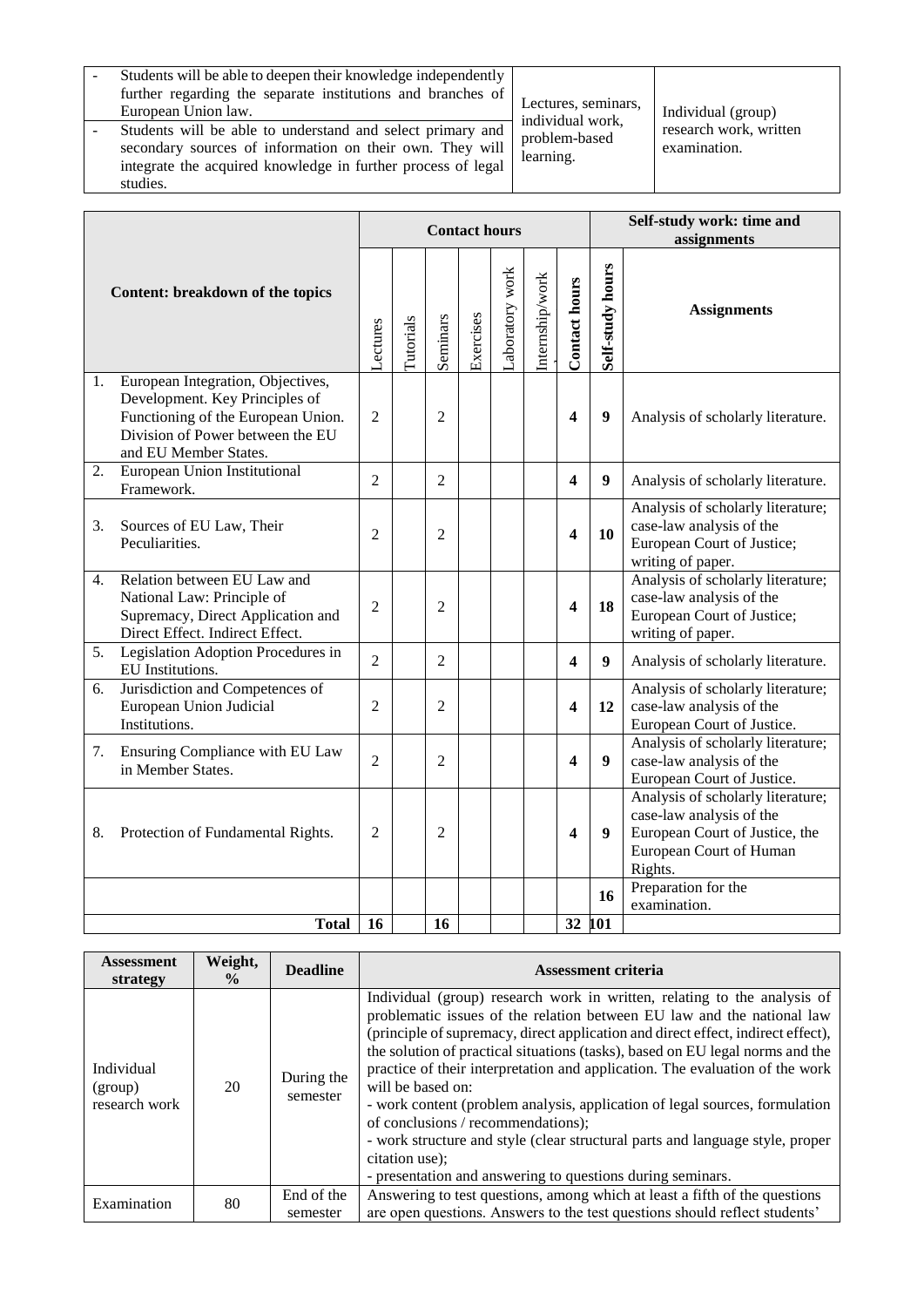| Students will be able to deepen their knowledge independently |
|---------------------------------------------------------------|
| further regarding the separate institutions and branches of   |
| European Union law.                                           |
| Students will be able to understand and select primary and    |
| secondary sources of information on their own. They will      |
| integrate the acquired knowledge in further process of legal  |
| studies.                                                      |

Lectures, seminars, individual work, problem-based learning.

Individual (group) research work, written examination.

| Content: breakdown of the topics |                                                                                                                                                                        |                | <b>Contact hours</b> |                |           |                |                |                         | Self-study work: time and<br>assignments |                                                                                                                                       |
|----------------------------------|------------------------------------------------------------------------------------------------------------------------------------------------------------------------|----------------|----------------------|----------------|-----------|----------------|----------------|-------------------------|------------------------------------------|---------------------------------------------------------------------------------------------------------------------------------------|
|                                  |                                                                                                                                                                        |                | Tutorials            | Seminars       | Exercises | aboratory work | nternship/work | <b>Contact hours</b>    | Self-study hours                         | <b>Assignments</b>                                                                                                                    |
| 1.                               | European Integration, Objectives,<br>Development. Key Principles of<br>Functioning of the European Union.<br>Division of Power between the EU<br>and EU Member States. | $\overline{2}$ |                      | $\overline{2}$ |           |                |                | 4                       | 9                                        | Analysis of scholarly literature.                                                                                                     |
| 2.                               | European Union Institutional<br>Framework.                                                                                                                             | $\overline{2}$ |                      | $\overline{2}$ |           |                |                | 4                       | 9                                        | Analysis of scholarly literature.                                                                                                     |
| 3.                               | Sources of EU Law, Their<br>Peculiarities.                                                                                                                             | $\overline{2}$ |                      | $\overline{2}$ |           |                |                | $\overline{\mathbf{4}}$ | 10                                       | Analysis of scholarly literature;<br>case-law analysis of the<br>European Court of Justice;<br>writing of paper.                      |
| 4.                               | Relation between EU Law and<br>National Law: Principle of<br>Supremacy, Direct Application and<br>Direct Effect. Indirect Effect.                                      | $\overline{2}$ |                      | $\overline{2}$ |           |                |                | 4                       | 18                                       | Analysis of scholarly literature;<br>case-law analysis of the<br>European Court of Justice;<br>writing of paper.                      |
|                                  | 5. Legislation Adoption Procedures in<br>EU Institutions.                                                                                                              | $\overline{2}$ |                      | $\overline{2}$ |           |                |                | $\overline{\mathbf{4}}$ | $\boldsymbol{9}$                         | Analysis of scholarly literature.                                                                                                     |
| 6.                               | Jurisdiction and Competences of<br>European Union Judicial<br>Institutions.                                                                                            | $\overline{2}$ |                      | $\overline{2}$ |           |                |                | 4                       | 12                                       | Analysis of scholarly literature;<br>case-law analysis of the<br>European Court of Justice.                                           |
| 7.                               | Ensuring Compliance with EU Law<br>in Member States.                                                                                                                   | $\overline{2}$ |                      | $\mathfrak{D}$ |           |                |                | 4                       | $\boldsymbol{Q}$                         | Analysis of scholarly literature;<br>case-law analysis of the<br>European Court of Justice.                                           |
| 8.                               | Protection of Fundamental Rights.                                                                                                                                      | $\overline{2}$ |                      | 2              |           |                |                | 4                       | 9                                        | Analysis of scholarly literature;<br>case-law analysis of the<br>European Court of Justice, the<br>European Court of Human<br>Rights. |
|                                  |                                                                                                                                                                        |                |                      |                |           |                |                |                         | 16                                       | Preparation for the<br>examination.                                                                                                   |
|                                  | <b>Total</b>                                                                                                                                                           | 16             |                      | 16             |           |                |                | 32                      | 101                                      |                                                                                                                                       |

| Assessment<br>strategy                 | Weight,<br>$\frac{0}{0}$ | <b>Deadline</b>        | <b>Assessment criteria</b>                                                                                                                                                                                                                                                                                                                                                                                                                                                                                                                                                                                                                                                                                         |  |  |
|----------------------------------------|--------------------------|------------------------|--------------------------------------------------------------------------------------------------------------------------------------------------------------------------------------------------------------------------------------------------------------------------------------------------------------------------------------------------------------------------------------------------------------------------------------------------------------------------------------------------------------------------------------------------------------------------------------------------------------------------------------------------------------------------------------------------------------------|--|--|
| Individual<br>(group)<br>research work | 20                       | During the<br>semester | Individual (group) research work in written, relating to the analysis of<br>problematic issues of the relation between EU law and the national law<br>(principle of supremacy, direct application and direct effect, indirect effect),<br>the solution of practical situations (tasks), based on EU legal norms and the<br>practice of their interpretation and application. The evaluation of the work<br>will be based on:<br>- work content (problem analysis, application of legal sources, formulation<br>of conclusions / recommendations);<br>- work structure and style (clear structural parts and language style, proper<br>citation use);<br>- presentation and answering to questions during seminars. |  |  |
| Examination                            | 80                       | End of the<br>semester | Answering to test questions, among which at least a fifth of the questions<br>are open questions. Answers to the test questions should reflect students'                                                                                                                                                                                                                                                                                                                                                                                                                                                                                                                                                           |  |  |